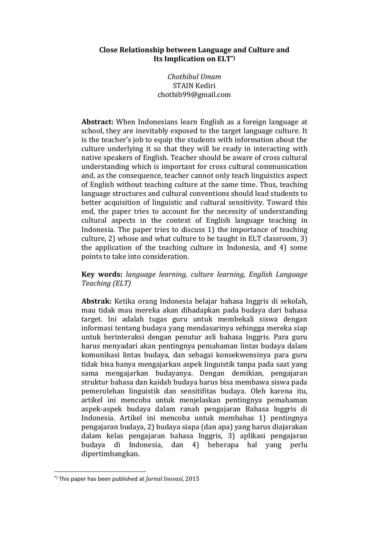## **Close Relationship between Language and Culture and Its Implication on ELT\*)**

*Chothibul Umam* STAIN Kediri chothib99@gmail.com

**Abstract:** When Indonesians learn English as a foreign language at school, they are inevitably exposed to the target language culture. It is the teacher's job to equip the students with information about the culture underlying it so that they will be ready in interacting with native speakers of English. Teacher should be aware of cross cultural understanding which is important for cross cultural communication and, as the consequence, teacher cannot only teach linguistics aspect of English without teaching culture at the same time. Thus, teaching language structures and cultural conventions should lead students to better acquisition of linguistic and cultural sensitivity. Toward this end, the paper tries to account for the necessity of understanding cultural aspects in the context of English language teaching in Indonesia. The paper tries to discuss 1) the importance of teaching culture, 2) whose and what culture to be taught in ELT classroom, 3) the application of the teaching culture in Indonesia, and 4) some points to take into consideration.

**Key words:** *language learning, culture learning, English Language Teaching (ELT)*

**Abstrak:** Ketika orang Indonesia belajar bahasa Inggris di sekolah, mau tidak mau mereka akan dihadapkan pada budaya dari bahasa target. Ini adalah tugas guru untuk membekali siswa dengan informasi tentang budaya yang mendasarinya sehingga mereka siap untuk berinteraksi dengan penutur asli bahasa Inggris. Para guru harus menyadari akan pentingnya pemahaman lintas budaya dalam komunikasi lintas budaya, dan sebagai konsekwensinya para guru tidak bisa hanya mengajarkan aspek linguistik tanpa pada saat yang sama mengajarkan budayanya. Dengan demikian, pengajaran struktur bahasa dan kaidah budaya harus bisa membawa siswa pada pemerolehan linguistik dan sensitifitas budaya. Oleh karena itu, artikel ini mencoba untuk menjelaskan pentingnya pemahaman aspek-aspek budaya dalam ranah pengajaran Bahasa Inggris di Indonesia. Artikel ini mencoba untuk membahas 1) pentingnya pengajaran budaya, 2) budaya siapa (dan apa) yang harus diajarakan dalam kelas pengajaran bahasa Inggris, 3) aplikasi pengajaran budaya di Indonesia, dan 4) beberapa hal yang perlu dipertimbangkan.

1

<sup>\*)</sup> This paper has been published at *Jurnal Inovasi*, 2015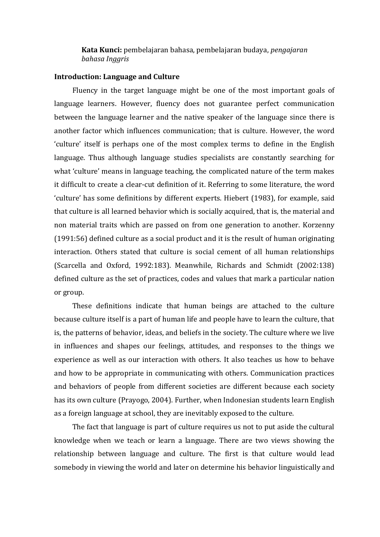# **Kata Kunci:** pembelajaran bahasa, pembelajaran budaya, *pengajaran bahasa Inggris*

### **Introduction: Language and Culture**

Fluency in the target language might be one of the most important goals of language learners. However, fluency does not guarantee perfect communication between the language learner and the native speaker of the language since there is another factor which influences communication; that is culture. However, the word 'culture' itself is perhaps one of the most complex terms to define in the English language. Thus although language studies specialists are constantly searching for what 'culture' means in language teaching, the complicated nature of the term makes it difficult to create a clear-cut definition of it. Referring to some literature, the word 'culture' has some definitions by different experts. Hiebert (1983), for example, said that culture is all learned behavior which is socially acquired, that is, the material and non material traits which are passed on from one generation to another. Korzenny (1991:56) defined culture as a social product and it is the result of human originating interaction. Others stated that culture is social cement of all human relationships (Scarcella and Oxford, 1992:183). Meanwhile, Richards and Schmidt (2002:138) defined culture as the set of practices, codes and values that mark a particular nation or group.

These definitions indicate that human beings are attached to the culture because culture itself is a part of human life and people have to learn the culture, that is, the patterns of behavior, ideas, and beliefs in the society. The culture where we live in influences and shapes our feelings, attitudes, and responses to the things we experience as well as our interaction with others. It also teaches us how to behave and how to be appropriate in communicating with others. Communication practices and behaviors of people from different societies are different because each society has its own culture (Prayogo, 2004). Further, when Indonesian students learn English as a foreign language at school, they are inevitably exposed to the culture.

The fact that language is part of culture requires us not to put aside the cultural knowledge when we teach or learn a language. There are two views showing the relationship between language and culture. The first is that culture would lead somebody in viewing the world and later on determine his behavior linguistically and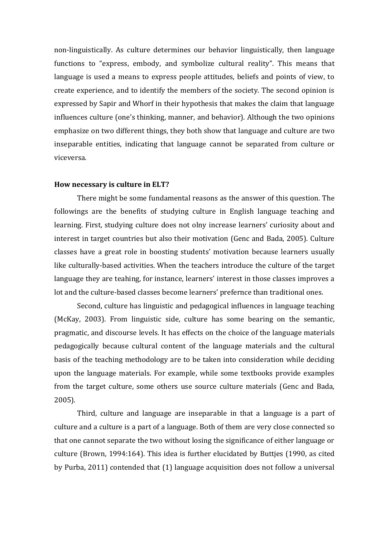non-linguistically. As culture determines our behavior linguistically, then language functions to "express, embody, and symbolize cultural reality". This means that language is used a means to express people attitudes, beliefs and points of view, to create experience, and to identify the members of the society. The second opinion is expressed by Sapir and Whorf in their hypothesis that makes the claim that language influences culture (one's thinking, manner, and behavior). Although the two opinions emphasize on two different things, they both show that language and culture are two inseparable entities, indicating that language cannot be separated from culture or viceversa.

#### **How necessary is culture in ELT?**

There might be some fundamental reasons as the answer of this question. The followings are the benefits of studying culture in English language teaching and learning. First, studying culture does not olny increase learners' curiosity about and interest in target countries but also their motivation (Genc and Bada, 2005). Culture classes have a great role in boosting students' motivation because learners usually like culturally-based activities. When the teachers introduce the culture of the target language they are teahing, for instance, learners' interest in those classes improves a lot and the culture-based classes become learners' prefernce than traditional ones.

Second, culture has linguistic and pedagogical influences in language teaching (McKay, 2003). From linguistic side, culture has some bearing on the semantic, pragmatic, and discourse levels. It has effects on the choice of the language materials pedagogically because cultural content of the language materials and the cultural basis of the teaching methodology are to be taken into consideration while deciding upon the language materials. For example, while some textbooks provide examples from the target culture, some others use source culture materials (Genc and Bada, 2005).

Third, culture and language are inseparable in that a language is a part of culture and a culture is a part of a language. Both of them are very close connected so that one cannot separate the two without losing the significance of either language or culture (Brown, 1994:164). This idea is further elucidated by Buttjes (1990, as cited by Purba, 2011) contended that (1) language acquisition does not follow a universal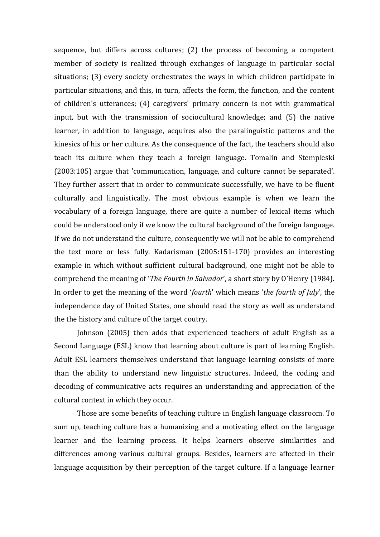sequence, but differs across cultures; (2) the process of becoming a competent member of society is realized through exchanges of language in particular social situations; (3) every society orchestrates the ways in which children participate in particular situations, and this, in turn, affects the form, the function, and the content of children's utterances; (4) caregivers' primary concern is not with grammatical input, but with the transmission of sociocultural knowledge; and (5) the native learner, in addition to language, acquires also the paralinguistic patterns and the kinesics of his or her culture. As the consequence of the fact, the teachers should also teach its culture when they teach a foreign language. Tomalin and Stempleski (2003:105) argue that 'communication, language, and culture cannot be separated'. They further assert that in order to communicate successfully, we have to be fluent culturally and linguistically. The most obvious example is when we learn the vocabulary of a foreign language, there are quite a number of lexical items which could be understood only if we know the cultural background of the foreign language. If we do not understand the culture, consequently we will not be able to comprehend the text more or less fully. Kadarisman (2005:151-170) provides an interesting example in which without sufficient cultural background, one might not be able to comprehend the meaning of '*The Fourth in Salvador*', a short story by O'Henry (1984). In order to get the meaning of the word '*fourth*' which means '*the fourth of July*', the independence day of United States, one should read the story as well as understand the the history and culture of the target coutry.

Johnson (2005) then adds that experienced teachers of adult English as a Second Language (ESL) know that learning about culture is part of learning English. Adult ESL learners themselves understand that language learning consists of more than the ability to understand new linguistic structures. Indeed, the coding and decoding of communicative acts requires an understanding and appreciation of the cultural context in which they occur.

Those are some benefits of teaching culture in English language classroom. To sum up, teaching culture has a humanizing and a motivating effect on the language learner and the learning process. It helps learners observe similarities and differences among various cultural groups. Besides, learners are affected in their language acquisition by their perception of the target culture. If a language learner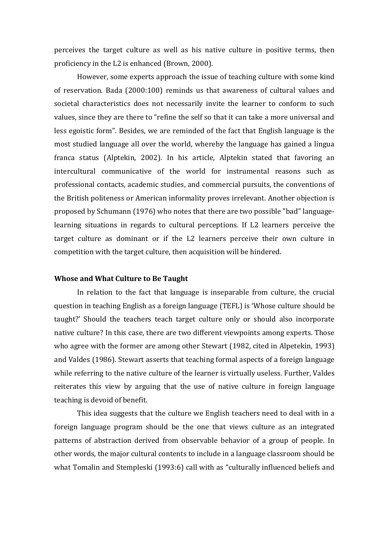perceives the target culture as well as his native culture in positive terms, then proficiency in the L2 is enhanced (Brown, 2000).

However, some experts approach the issue of teaching culture with some kind of reservation. Bada (2000:100) reminds us that awareness of cultural values and societal characteristics does not necessarily invite the learner to conform to such values, since they are there to "refine the self so that it can take a more universal and less egoistic form". Besides, we are reminded of the fact that English language is the most studied language all over the world, whereby the language has gained a lingua franca status (Alptekin, 2002). In his article, Alptekin stated that favoring an intercultural communicative of the world for instrumental reasons such as professional contacts, academic studies, and commercial pursuits, the conventions of the British politeness or American informality proves irrelevant. Another objection is proposed by Schumann (1976) who notes that there are two possible "bad" languagelearning situations in regards to cultural perceptions. If L2 learners perceive the target culture as dominant or if the L2 learners perceive their own culture in competition with the target culture, then acquisition will be hindered.

#### **Whose and What Culture to Be Taught**

In relation to the fact that language is inseparable from culture, the crucial question in teaching English as a foreign language (TEFL) is 'Whose culture should be taught?' Should the teachers teach target culture only or should also incorporate native culture? In this case, there are two different viewpoints among experts. Those who agree with the former are among other Stewart (1982, cited in Alpetekin, 1993) and Valdes (1986). Stewart asserts that teaching formal aspects of a foreign language while referring to the native culture of the learner is virtually useless. Further, Valdes reiterates this view by arguing that the use of native culture in foreign language teaching is devoid of benefit.

This idea suggests that the culture we English teachers need to deal with in a foreign language program should be the one that views culture as an integrated patterns of abstraction derived from observable behavior of a group of people. In other words, the major cultural contents to include in a language classroom should be what Tomalin and Stempleski (1993:6) call with as "culturally influenced beliefs and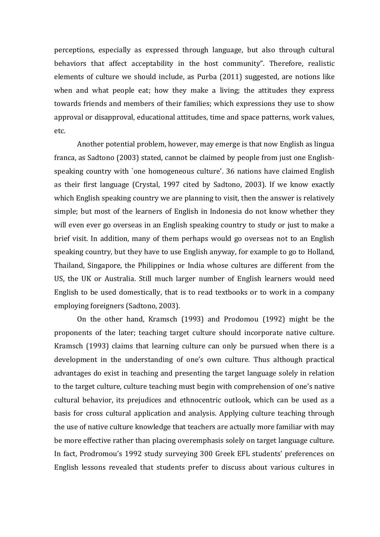perceptions, especially as expressed through language, but also through cultural behaviors that affect acceptability in the host community". Therefore, realistic elements of culture we should include, as Purba (2011) suggested, are notions like when and what people eat; how they make a living; the attitudes they express towards friends and members of their families; which expressions they use to show approval or disapproval, educational attitudes, time and space patterns, work values, etc.

Another potential problem, however, may emerge is that now English as lingua franca, as Sadtono (2003) stated, cannot be claimed by people from just one Englishspeaking country with `one homogeneous culture'. 36 nations have claimed English as their first language (Crystal, 1997 cited by Sadtono, 2003). If we know exactly which English speaking country we are planning to visit, then the answer is relatively simple; but most of the learners of English in Indonesia do not know whether they will even ever go overseas in an English speaking country to study or just to make a brief visit. In addition, many of them perhaps would go overseas not to an English speaking country, but they have to use English anyway, for example to go to Holland, Thailand, Singapore, the Philippines or India whose cultures are different from the US, the UK or Australia. Still much larger number of English learners would need English to be used domestically, that is to read textbooks or to work in a company employing foreigners (Sadtono, 2003).

On the other hand, Kramsch (1993) and Prodomou (1992) might be the proponents of the later; teaching target culture should incorporate native culture. Kramsch (1993) claims that learning culture can only be pursued when there is a development in the understanding of one's own culture. Thus although practical advantages do exist in teaching and presenting the target language solely in relation to the target culture, culture teaching must begin with comprehension of one's native cultural behavior, its prejudices and ethnocentric outlook, which can be used as a basis for cross cultural application and analysis. Applying culture teaching through the use of native culture knowledge that teachers are actually more familiar with may be more effective rather than placing overemphasis solely on target language culture. In fact, Prodromou's 1992 study surveying 300 Greek EFL students' preferences on English lessons revealed that students prefer to discuss about various cultures in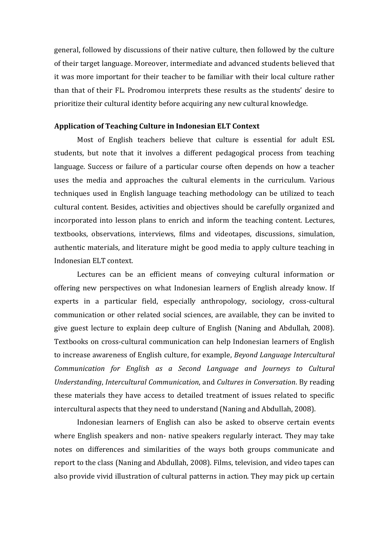general, followed by discussions of their native culture, then followed by the culture of their target language. Moreover, intermediate and advanced students believed that it was more important for their teacher to be familiar with their local culture rather than that of their FL. Prodromou interprets these results as the students' desire to prioritize their cultural identity before acquiring any new cultural knowledge.

### **Application of Teaching Culture in Indonesian ELT Context**

Most of English teachers believe that culture is essential for adult ESL students, but note that it involves a different pedagogical process from teaching language. Success or failure of a particular course often depends on how a teacher uses the media and approaches the cultural elements in the curriculum. Various techniques used in English language teaching methodology can be utilized to teach cultural content. Besides, activities and objectives should be carefully organized and incorporated into lesson plans to enrich and inform the teaching content. Lectures, textbooks, observations, interviews, films and videotapes, discussions, simulation, authentic materials, and literature might be good media to apply culture teaching in Indonesian ELT context.

Lectures can be an efficient means of conveying cultural information or offering new perspectives on what Indonesian learners of English already know. If experts in a particular field, especially anthropology, sociology, cross-cultural communication or other related social sciences, are available, they can be invited to give guest lecture to explain deep culture of English (Naning and Abdullah, 2008). Textbooks on cross-cultural communication can help Indonesian learners of English to increase awareness of English culture, for example, *Beyond Language Intercultural Communication for English as a Second Language and Journeys to Cultural Understanding*, *Intercultural Communication*, and *Cultures in Conversation*. By reading these materials they have access to detailed treatment of issues related to specific intercultural aspects that they need to understand (Naning and Abdullah, 2008).

Indonesian learners of English can also be asked to observe certain events where English speakers and non- native speakers regularly interact. They may take notes on differences and similarities of the ways both groups communicate and report to the class (Naning and Abdullah, 2008). Films, television, and video tapes can also provide vivid illustration of cultural patterns in action. They may pick up certain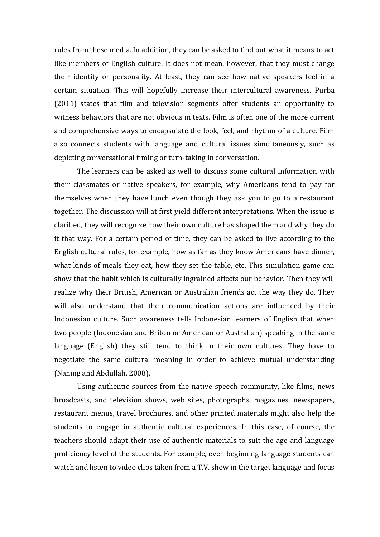rules from these media. In addition, they can be asked to find out what it means to act like members of English culture. It does not mean, however, that they must change their identity or personality. At least, they can see how native speakers feel in a certain situation. This will hopefully increase their intercultural awareness. Purba (2011) states that film and television segments offer students an opportunity to witness behaviors that are not obvious in texts. Film is often one of the more current and comprehensive ways to encapsulate the look, feel, and rhythm of a culture. Film also connects students with language and cultural issues simultaneously, such as depicting conversational timing or turn-taking in conversation.

The learners can be asked as well to discuss some cultural information with their classmates or native speakers, for example, why Americans tend to pay for themselves when they have lunch even though they ask you to go to a restaurant together. The discussion will at first yield different interpretations. When the issue is clarified, they will recognize how their own culture has shaped them and why they do it that way. For a certain period of time, they can be asked to live according to the English cultural rules, for example, how as far as they know Americans have dinner, what kinds of meals they eat, how they set the table, etc. This simulation game can show that the habit which is culturally ingrained affects our behavior. Then they will realize why their British, American or Australian friends act the way they do. They will also understand that their communication actions are influenced by their Indonesian culture. Such awareness tells Indonesian learners of English that when two people (Indonesian and Briton or American or Australian) speaking in the same language (English) they still tend to think in their own cultures. They have to negotiate the same cultural meaning in order to achieve mutual understanding (Naning and Abdullah, 2008).

Using authentic sources from the native speech community, like films, news broadcasts, and television shows, web sites, photographs, magazines, newspapers, restaurant menus, travel brochures, and other printed materials might also help the students to engage in authentic cultural experiences. In this case, of course, the teachers should adapt their use of authentic materials to suit the age and language proficiency level of the students. For example, even beginning language students can watch and listen to video clips taken from a T.V. show in the target language and focus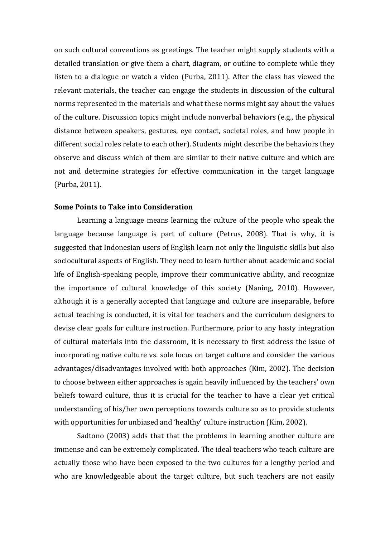on such cultural conventions as greetings. The teacher might supply students with a detailed translation or give them a chart, diagram, or outline to complete while they listen to a dialogue or watch a video (Purba, 2011). After the class has viewed the relevant materials, the teacher can engage the students in discussion of the cultural norms represented in the materials and what these norms might say about the values of the culture. Discussion topics might include nonverbal behaviors (e.g., the physical distance between speakers, gestures, eye contact, societal roles, and how people in different social roles relate to each other). Students might describe the behaviors they observe and discuss which of them are similar to their native culture and which are not and determine strategies for effective communication in the target language (Purba, 2011).

## **Some Points to Take into Consideration**

Learning a language means learning the culture of the people who speak the language because language is part of culture (Petrus, 2008). That is why, it is suggested that Indonesian users of English learn not only the linguistic skills but also sociocultural aspects of English. They need to learn further about academic and social life of English-speaking people, improve their communicative ability, and recognize the importance of cultural knowledge of this society (Naning, 2010). However, although it is a generally accepted that language and culture are inseparable, before actual teaching is conducted, it is vital for teachers and the curriculum designers to devise clear goals for culture instruction. Furthermore, prior to any hasty integration of cultural materials into the classroom, it is necessary to first address the issue of incorporating native culture vs. sole focus on target culture and consider the various advantages/disadvantages involved with both approaches (Kim, 2002). The decision to choose between either approaches is again heavily influenced by the teachers' own beliefs toward culture, thus it is crucial for the teacher to have a clear yet critical understanding of his/her own perceptions towards culture so as to provide students with opportunities for unbiased and 'healthy' culture instruction (Kim, 2002).

Sadtono (2003) adds that that the problems in learning another culture are immense and can be extremely complicated. The ideal teachers who teach culture are actually those who have been exposed to the two cultures for a lengthy period and who are knowledgeable about the target culture, but such teachers are not easily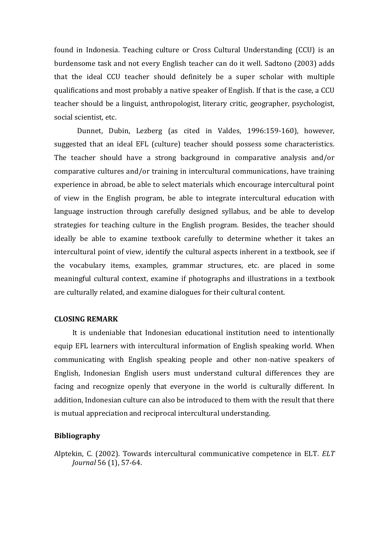found in Indonesia. Teaching culture or Cross Cultural Understanding (CCU) is an burdensome task and not every English teacher can do it well. Sadtono (2003) adds that the ideal CCU teacher should definitely be a super scholar with multiple qualifications and most probably a native speaker of English. If that is the case, a CCU teacher should be a linguist, anthropologist, literary critic, geographer, psychologist, social scientist, etc.

Dunnet, Dubin, Lezberg (as cited in Valdes, 1996:159-160), however, suggested that an ideal EFL (culture) teacher should possess some characteristics. The teacher should have a strong background in comparative analysis and/or comparative cultures and/or training in intercultural communications, have training experience in abroad, be able to select materials which encourage intercultural point of view in the English program, be able to integrate intercultural education with language instruction through carefully designed syllabus, and be able to develop strategies for teaching culture in the English program. Besides, the teacher should ideally be able to examine textbook carefully to determine whether it takes an intercultural point of view, identify the cultural aspects inherent in a textbook, see if the vocabulary items, examples, grammar structures, etc. are placed in some meaningful cultural context, examine if photographs and illustrations in a textbook are culturally related, and examine dialogues for their cultural content.

## **CLOSING REMARK**

It is undeniable that Indonesian educational institution need to intentionally equip EFL learners with intercultural information of English speaking world. When communicating with English speaking people and other non-native speakers of English, Indonesian English users must understand cultural differences they are facing and recognize openly that everyone in the world is culturally different. In addition, Indonesian culture can also be introduced to them with the result that there is mutual appreciation and reciprocal intercultural understanding.

### **Bibliography**

Alptekin, C. (2002). Towards intercultural communicative competence in ELT. *ELT Journal* 56 (1), 57-64.